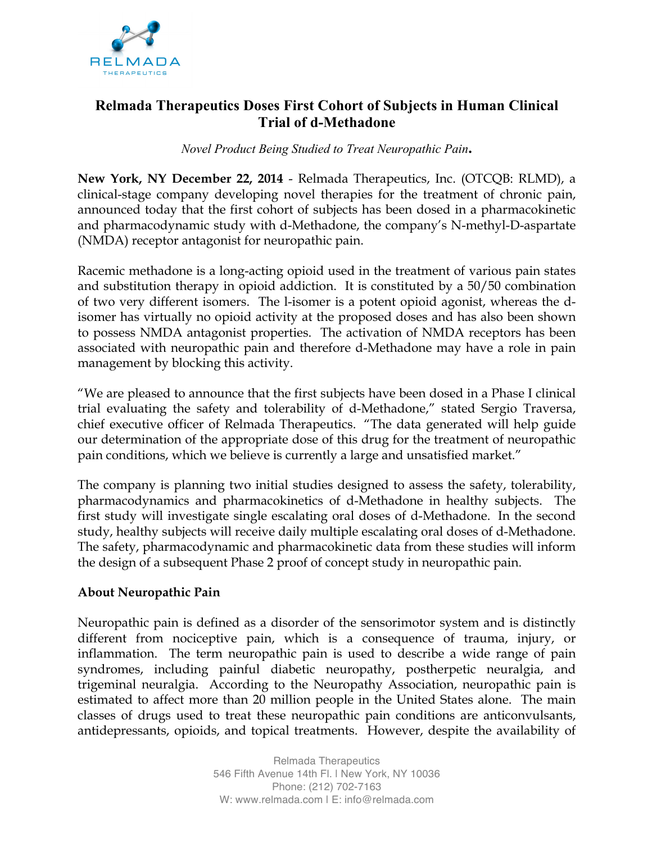

# **Relmada Therapeutics Doses First Cohort of Subjects in Human Clinical Trial of d-Methadone**

#### *Novel Product Being Studied to Treat Neuropathic Pain***.**

**New York, NY December 22, 2014** - Relmada Therapeutics, Inc. (OTCQB: RLMD), a clinical-stage company developing novel therapies for the treatment of chronic pain, announced today that the first cohort of subjects has been dosed in a pharmacokinetic and pharmacodynamic study with d-Methadone, the company's N-methyl-D-aspartate (NMDA) receptor antagonist for neuropathic pain.

Racemic methadone is a long-acting opioid used in the treatment of various pain states and substitution therapy in opioid addiction. It is constituted by a 50/50 combination of two very different isomers. The l-isomer is a potent opioid agonist, whereas the disomer has virtually no opioid activity at the proposed doses and has also been shown to possess NMDA antagonist properties. The activation of NMDA receptors has been associated with neuropathic pain and therefore d-Methadone may have a role in pain management by blocking this activity.

"We are pleased to announce that the first subjects have been dosed in a Phase I clinical trial evaluating the safety and tolerability of d-Methadone," stated Sergio Traversa, chief executive officer of Relmada Therapeutics. "The data generated will help guide our determination of the appropriate dose of this drug for the treatment of neuropathic pain conditions, which we believe is currently a large and unsatisfied market."

The company is planning two initial studies designed to assess the safety, tolerability, pharmacodynamics and pharmacokinetics of d-Methadone in healthy subjects. The first study will investigate single escalating oral doses of d-Methadone. In the second study, healthy subjects will receive daily multiple escalating oral doses of d-Methadone. The safety, pharmacodynamic and pharmacokinetic data from these studies will inform the design of a subsequent Phase 2 proof of concept study in neuropathic pain.

## **About Neuropathic Pain**

Neuropathic pain is defined as a disorder of the sensorimotor system and is distinctly different from nociceptive pain, which is a consequence of trauma, injury, or inflammation. The term neuropathic pain is used to describe a wide range of pain syndromes, including painful diabetic neuropathy, postherpetic neuralgia, and trigeminal neuralgia. According to the Neuropathy Association, neuropathic pain is estimated to affect more than 20 million people in the United States alone. The main classes of drugs used to treat these neuropathic pain conditions are anticonvulsants, antidepressants, opioids, and topical treatments. However, despite the availability of